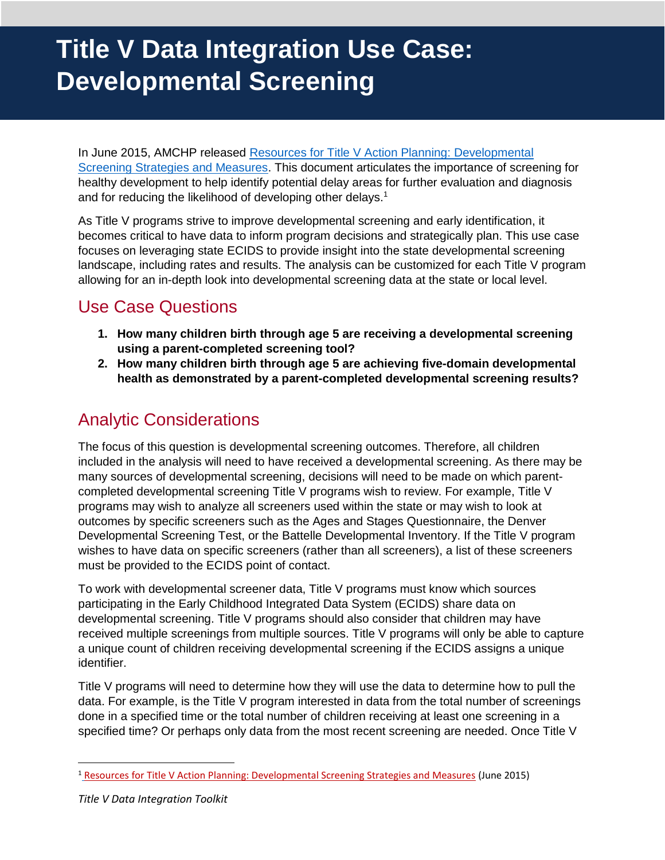# **Title V Data Integration Use Case: Developmental Screening**

In June 2015, AMCHP released [Resources for Title V Action Planning: Developmental](http://www.amchp.org/programsandtopics/CYSHCN/projects/spharc/LearningModule/Documents/TITLEV-ACTION-PLANNING_NPM6_STRATEGIES_MEASURES.pdf)  [Screening Strategies and Measures.](http://www.amchp.org/programsandtopics/CYSHCN/projects/spharc/LearningModule/Documents/TITLEV-ACTION-PLANNING_NPM6_STRATEGIES_MEASURES.pdf) This document articulates the importance of screening for healthy development to help identify potential delay areas for further evaluation and diagnosis and for reducing the likelihood of developing other delays.<sup>1</sup>

As Title V programs strive to improve developmental screening and early identification, it becomes critical to have data to inform program decisions and strategically plan. This use case focuses on leveraging state ECIDS to provide insight into the state developmental screening landscape, including rates and results. The analysis can be customized for each Title V program allowing for an in-depth look into developmental screening data at the state or local level.

## Use Case Questions

- **1. How many children birth through age 5 are receiving a developmental screening using a parent-completed screening tool?**
- **2. How many children birth through age 5 are achieving five-domain developmental health as demonstrated by a parent-completed developmental screening results?**

# Analytic Considerations

The focus of this question is developmental screening outcomes. Therefore, all children included in the analysis will need to have received a developmental screening. As there may be many sources of developmental screening, decisions will need to be made on which parentcompleted developmental screening Title V programs wish to review. For example, Title V programs may wish to analyze all screeners used within the state or may wish to look at outcomes by specific screeners such as the Ages and Stages Questionnaire, the Denver Developmental Screening Test, or the Battelle Developmental Inventory. If the Title V program wishes to have data on specific screeners (rather than all screeners), a list of these screeners must be provided to the ECIDS point of contact.

To work with developmental screener data, Title V programs must know which sources participating in the Early Childhood Integrated Data System (ECIDS) share data on developmental screening. Title V programs should also consider that children may have received multiple screenings from multiple sources. Title V programs will only be able to capture a unique count of children receiving developmental screening if the ECIDS assigns a unique identifier.

Title V programs will need to determine how they will use the data to determine how to pull the data. For example, is the Title V program interested in data from the total number of screenings done in a specified time or the total number of children receiving at least one screening in a specified time? Or perhaps only data from the most recent screening are needed. Once Title V

 $\overline{\phantom{a}}$ 

<sup>&</sup>lt;sup>1</sup> [Resources for Title V Action Planning: Developmental Screening Strategies and Measures](http://www.amchp.org/programsandtopics/CYSHCN/projects/spharc/LearningModule/Documents/TITLEV-ACTION-PLANNING_NPM6_STRATEGIES_MEASURES.pdf) (June 2015)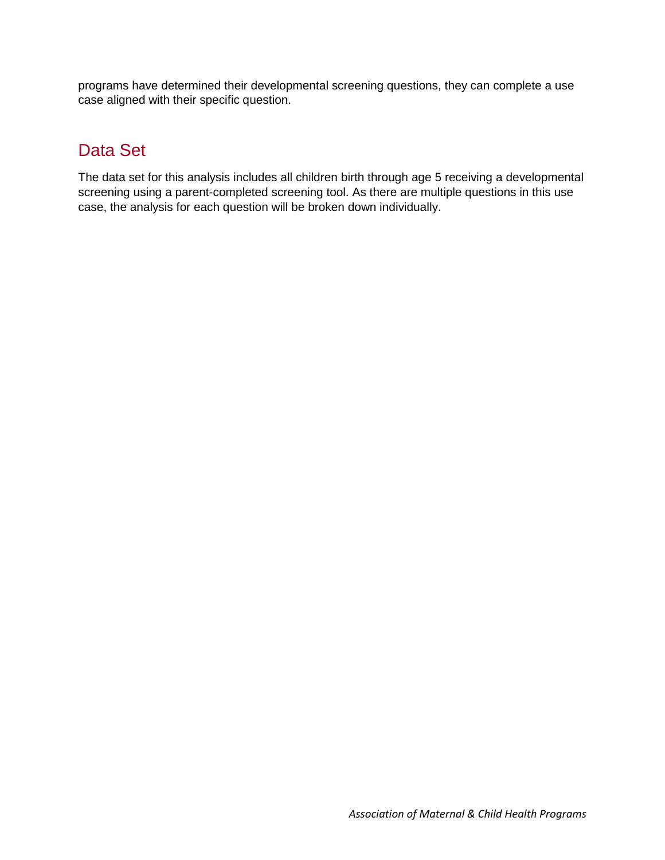programs have determined their developmental screening questions, they can complete a use case aligned with their specific question.

# Data Set

The data set for this analysis includes all children birth through age 5 receiving a developmental screening using a parent-completed screening tool. As there are multiple questions in this use case, the analysis for each question will be broken down individually.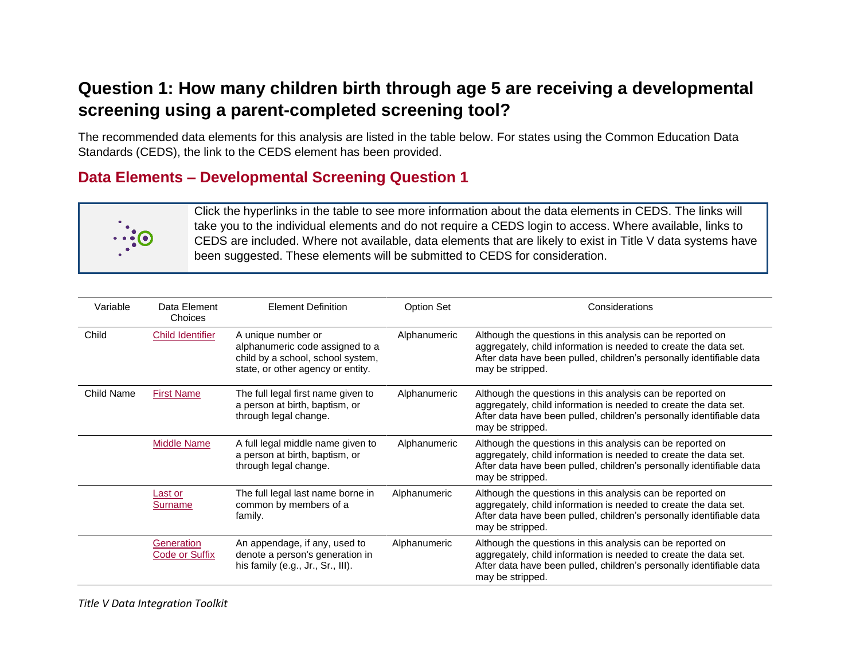# **Question 1: How many children birth through age 5 are receiving a developmental screening using a parent-completed screening tool?**

The recommended data elements for this analysis are listed in the table below. For states using the Common Education Data Standards (CEDS), the link to the CEDS element has been provided.

## **Data Elements – Developmental Screening Question 1**



Click the hyperlinks in the table to see more information about the data elements in CEDS. The links will take you to the individual elements and do not require a CEDS login to access. Where available, links to CEDS are included. Where not available, data elements that are likely to exist in Title V data systems have been suggested. These elements will be submitted to CEDS for consideration.

| Variable          | Data Element<br>Choices             | <b>Element Definition</b>                                                                                                       | <b>Option Set</b> | Considerations                                                                                                                                                                                                             |
|-------------------|-------------------------------------|---------------------------------------------------------------------------------------------------------------------------------|-------------------|----------------------------------------------------------------------------------------------------------------------------------------------------------------------------------------------------------------------------|
| Child             | <b>Child Identifier</b>             | A unique number or<br>alphanumeric code assigned to a<br>child by a school, school system,<br>state, or other agency or entity. | Alphanumeric      | Although the questions in this analysis can be reported on<br>aggregately, child information is needed to create the data set.<br>After data have been pulled, children's personally identifiable data<br>may be stripped. |
| <b>Child Name</b> | <b>First Name</b>                   | The full legal first name given to<br>a person at birth, baptism, or<br>through legal change.                                   | Alphanumeric      | Although the questions in this analysis can be reported on<br>aggregately, child information is needed to create the data set.<br>After data have been pulled, children's personally identifiable data<br>may be stripped. |
|                   | <b>Middle Name</b>                  | A full legal middle name given to<br>a person at birth, baptism, or<br>through legal change.                                    | Alphanumeric      | Although the questions in this analysis can be reported on<br>aggregately, child information is needed to create the data set.<br>After data have been pulled, children's personally identifiable data<br>may be stripped. |
|                   | <b>Last or</b><br><b>Surname</b>    | The full legal last name borne in<br>common by members of a<br>family.                                                          | Alphanumeric      | Although the questions in this analysis can be reported on<br>aggregately, child information is needed to create the data set.<br>After data have been pulled, children's personally identifiable data<br>may be stripped. |
|                   | Generation<br><b>Code or Suffix</b> | An appendage, if any, used to<br>denote a person's generation in<br>his family (e.g., Jr., Sr., III).                           | Alphanumeric      | Although the questions in this analysis can be reported on<br>aggregately, child information is needed to create the data set.<br>After data have been pulled, children's personally identifiable data<br>may be stripped. |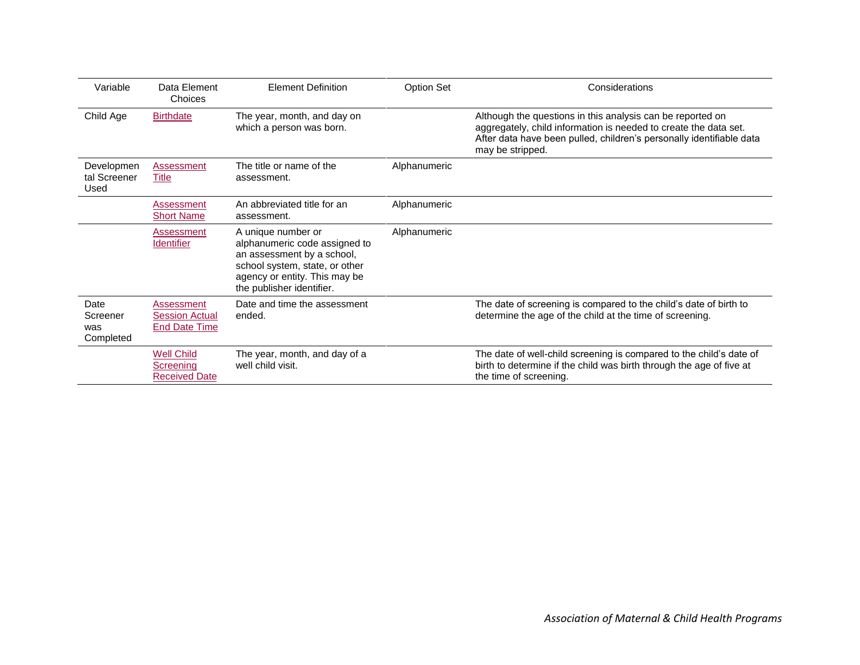| Variable                             | Data Element<br>Choices                                     | <b>Element Definition</b>                                                                                                                                                         | Option Set   | Considerations                                                                                                                                                                                                             |
|--------------------------------------|-------------------------------------------------------------|-----------------------------------------------------------------------------------------------------------------------------------------------------------------------------------|--------------|----------------------------------------------------------------------------------------------------------------------------------------------------------------------------------------------------------------------------|
| Child Age                            | <b>Birthdate</b>                                            | The year, month, and day on<br>which a person was born.                                                                                                                           |              | Although the questions in this analysis can be reported on<br>aggregately, child information is needed to create the data set.<br>After data have been pulled, children's personally identifiable data<br>may be stripped. |
| Developmen<br>tal Screener<br>Used   | Assessment<br>Title                                         | The title or name of the<br>assessment.                                                                                                                                           | Alphanumeric |                                                                                                                                                                                                                            |
|                                      | Assessment<br><b>Short Name</b>                             | An abbreviated title for an<br>assessment.                                                                                                                                        | Alphanumeric |                                                                                                                                                                                                                            |
|                                      | Assessment<br><b>Identifier</b>                             | A unique number or<br>alphanumeric code assigned to<br>an assessment by a school,<br>school system, state, or other<br>agency or entity. This may be<br>the publisher identifier. | Alphanumeric |                                                                                                                                                                                                                            |
| Date<br>Screener<br>was<br>Completed | Assessment<br><b>Session Actual</b><br><b>End Date Time</b> | Date and time the assessment<br>ended.                                                                                                                                            |              | The date of screening is compared to the child's date of birth to<br>determine the age of the child at the time of screening.                                                                                              |
|                                      | <b>Well Child</b><br>Screening<br><b>Received Date</b>      | The year, month, and day of a<br>well child visit.                                                                                                                                |              | The date of well-child screening is compared to the child's date of<br>birth to determine if the child was birth through the age of five at<br>the time of screening.                                                      |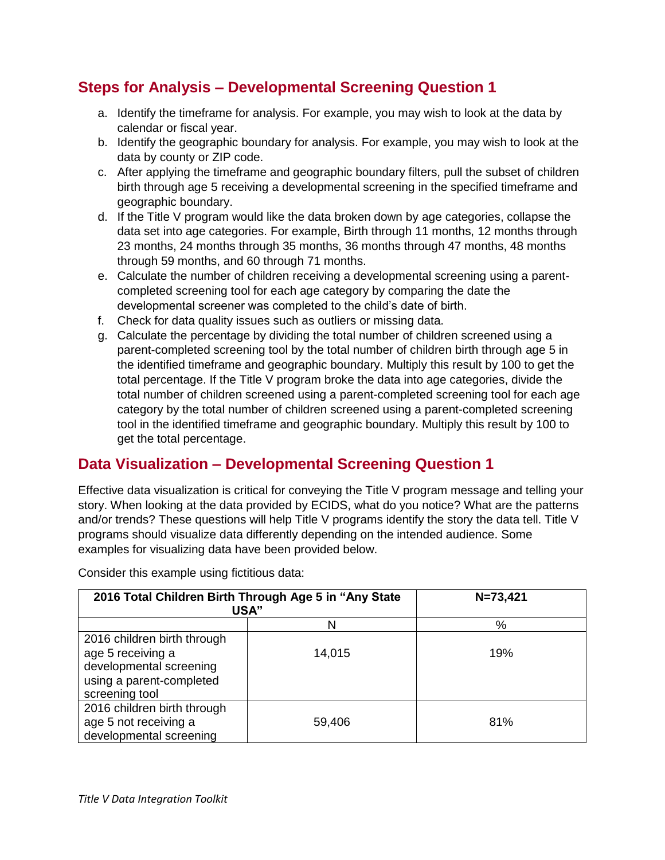## **Steps for Analysis – Developmental Screening Question 1**

- a. Identify the timeframe for analysis. For example, you may wish to look at the data by calendar or fiscal year.
- b. Identify the geographic boundary for analysis. For example, you may wish to look at the data by county or ZIP code.
- c. After applying the timeframe and geographic boundary filters, pull the subset of children birth through age 5 receiving a developmental screening in the specified timeframe and geographic boundary.
- d. If the Title V program would like the data broken down by age categories, collapse the data set into age categories. For example, Birth through 11 months, 12 months through 23 months, 24 months through 35 months, 36 months through 47 months, 48 months through 59 months, and 60 through 71 months.
- e. Calculate the number of children receiving a developmental screening using a parentcompleted screening tool for each age category by comparing the date the developmental screener was completed to the child's date of birth.
- f. Check for data quality issues such as outliers or missing data.
- g. Calculate the percentage by dividing the total number of children screened using a parent-completed screening tool by the total number of children birth through age 5 in the identified timeframe and geographic boundary. Multiply this result by 100 to get the total percentage. If the Title V program broke the data into age categories, divide the total number of children screened using a parent-completed screening tool for each age category by the total number of children screened using a parent-completed screening tool in the identified timeframe and geographic boundary. Multiply this result by 100 to get the total percentage.

#### **Data Visualization – Developmental Screening Question 1**

Effective data visualization is critical for conveying the Title V program message and telling your story. When looking at the data provided by ECIDS, what do you notice? What are the patterns and/or trends? These questions will help Title V programs identify the story the data tell. Title V programs should visualize data differently depending on the intended audience. Some examples for visualizing data have been provided below.

Consider this example using fictitious data:

| 2016 Total Children Birth Through Age 5 in "Any State<br><b>USA"</b>                                                      | $N = 73,421$ |     |
|---------------------------------------------------------------------------------------------------------------------------|--------------|-----|
|                                                                                                                           | N            | %   |
| 2016 children birth through<br>age 5 receiving a<br>developmental screening<br>using a parent-completed<br>screening tool | 14,015       | 19% |
| 2016 children birth through<br>age 5 not receiving a<br>developmental screening                                           | 59,406       | 81% |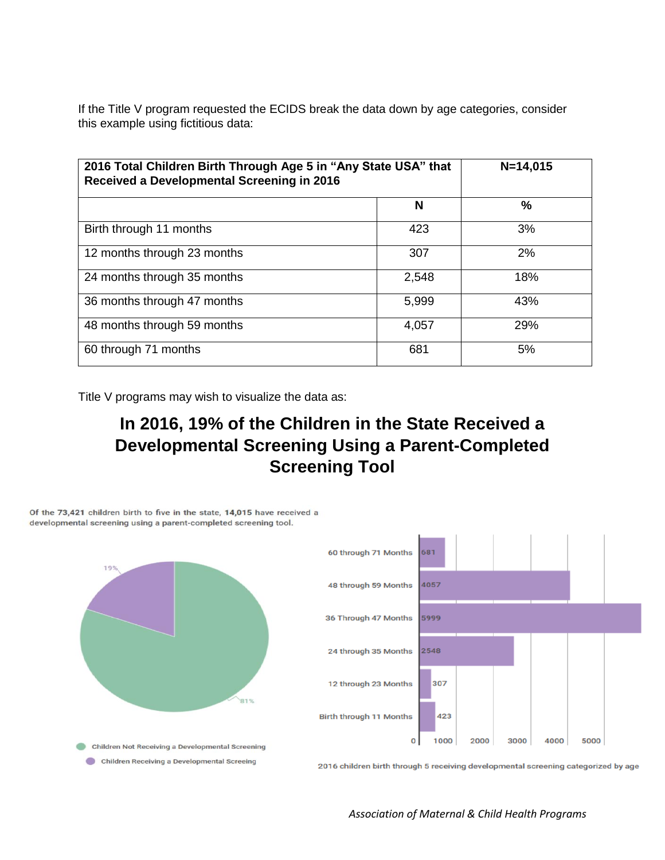If the Title V program requested the ECIDS break the data down by age categories, consider this example using fictitious data:

| 2016 Total Children Birth Through Age 5 in "Any State USA" that<br>Received a Developmental Screening in 2016 | $N=14,015$ |     |
|---------------------------------------------------------------------------------------------------------------|------------|-----|
|                                                                                                               | N          | ℅   |
| Birth through 11 months                                                                                       | 423        | 3%  |
| 12 months through 23 months                                                                                   | 307        | 2%  |
| 24 months through 35 months                                                                                   | 2,548      | 18% |
| 36 months through 47 months                                                                                   | 5,999      | 43% |
| 48 months through 59 months                                                                                   | 4,057      | 29% |
| 60 through 71 months                                                                                          | 681        | 5%  |

Title V programs may wish to visualize the data as:

# **In 2016, 19% of the Children in the State Received a Developmental Screening Using a Parent-Completed Screening Tool**



*Association of Maternal & Child Health Programs*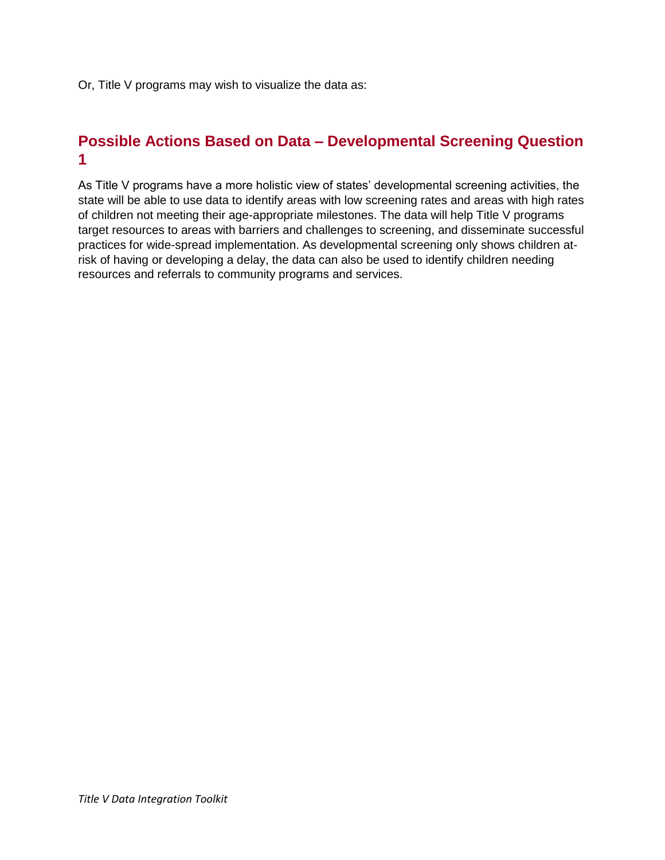Or, Title V programs may wish to visualize the data as:

#### **Possible Actions Based on Data – Developmental Screening Question 1**

As Title V programs have a more holistic view of states' developmental screening activities, the state will be able to use data to identify areas with low screening rates and areas with high rates of children not meeting their age-appropriate milestones. The data will help Title V programs target resources to areas with barriers and challenges to screening, and disseminate successful practices for wide-spread implementation. As developmental screening only shows children atrisk of having or developing a delay, the data can also be used to identify children needing resources and referrals to community programs and services.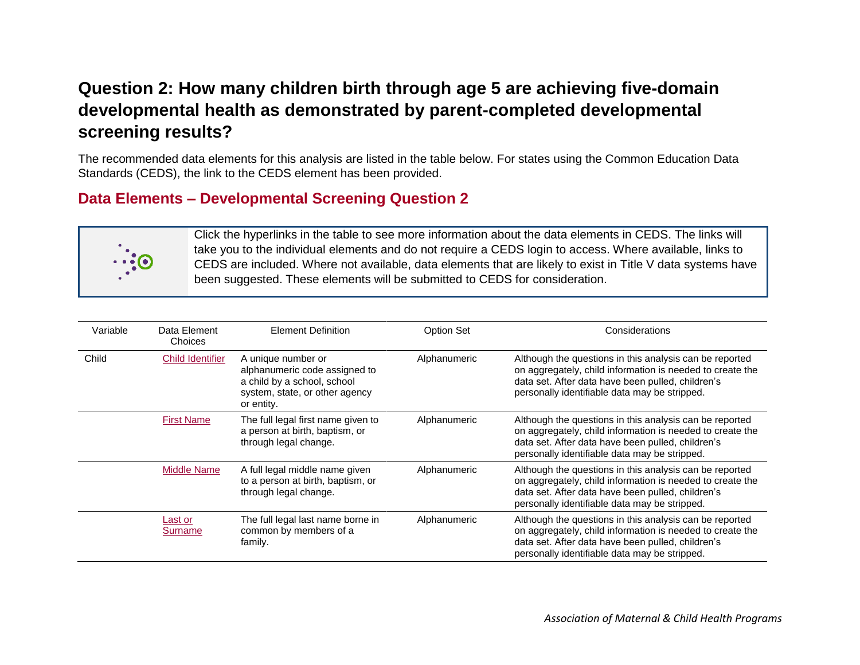# **Question 2: How many children birth through age 5 are achieving five-domain developmental health as demonstrated by parent-completed developmental screening results?**

The recommended data elements for this analysis are listed in the table below. For states using the Common Education Data Standards (CEDS), the link to the CEDS element has been provided.

#### **Data Elements – Developmental Screening Question 2**



Click the hyperlinks in the table to see more information about the data elements in CEDS. The links will take you to the individual elements and do not require a CEDS login to access. Where available, links to CEDS are included. Where not available, data elements that are likely to exist in Title V data systems have been suggested. These elements will be submitted to CEDS for consideration.

| Variable | Data Element<br>Choices | <b>Element Definition</b>                                                                                                          | <b>Option Set</b> | Considerations                                                                                                                                                                                                             |
|----------|-------------------------|------------------------------------------------------------------------------------------------------------------------------------|-------------------|----------------------------------------------------------------------------------------------------------------------------------------------------------------------------------------------------------------------------|
| Child    | <b>Child Identifier</b> | A unique number or<br>alphanumeric code assigned to<br>a child by a school, school<br>system, state, or other agency<br>or entity. | Alphanumeric      | Although the questions in this analysis can be reported<br>on aggregately, child information is needed to create the<br>data set. After data have been pulled, children's<br>personally identifiable data may be stripped. |
|          | <b>First Name</b>       | The full legal first name given to<br>a person at birth, baptism, or<br>through legal change.                                      | Alphanumeric      | Although the questions in this analysis can be reported<br>on aggregately, child information is needed to create the<br>data set. After data have been pulled, children's<br>personally identifiable data may be stripped. |
|          | Middle Name             | A full legal middle name given<br>to a person at birth, baptism, or<br>through legal change.                                       | Alphanumeric      | Although the questions in this analysis can be reported<br>on aggregately, child information is needed to create the<br>data set. After data have been pulled, children's<br>personally identifiable data may be stripped. |
|          | Last or<br>Surname      | The full legal last name borne in<br>common by members of a<br>family.                                                             | Alphanumeric      | Although the questions in this analysis can be reported<br>on aggregately, child information is needed to create the<br>data set. After data have been pulled, children's<br>personally identifiable data may be stripped. |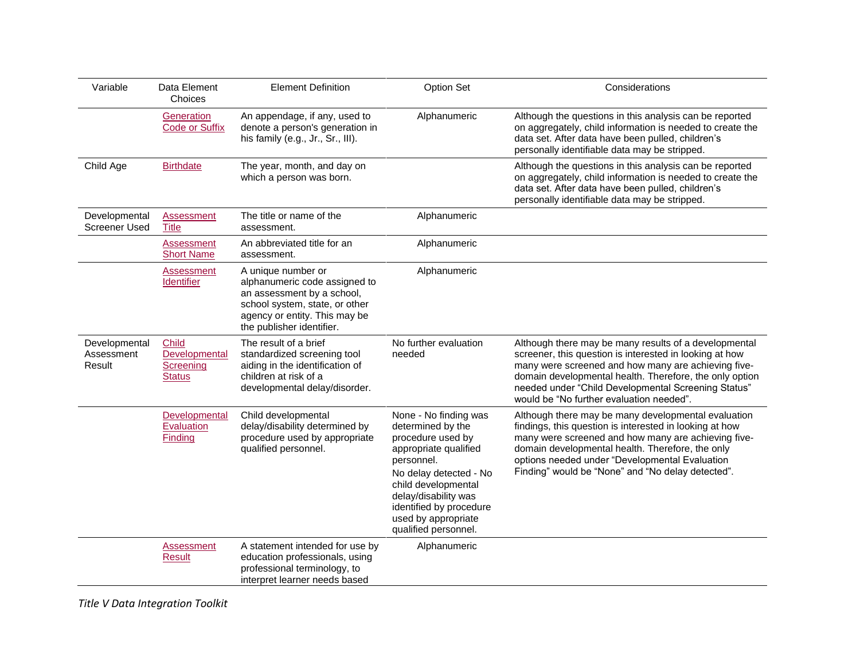| Variable                              | Data Element<br>Choices                              | <b>Element Definition</b>                                                                                                                                                         | <b>Option Set</b>                                                                                                                                                                                                                                         | Considerations                                                                                                                                                                                                                                                                                                                        |
|---------------------------------------|------------------------------------------------------|-----------------------------------------------------------------------------------------------------------------------------------------------------------------------------------|-----------------------------------------------------------------------------------------------------------------------------------------------------------------------------------------------------------------------------------------------------------|---------------------------------------------------------------------------------------------------------------------------------------------------------------------------------------------------------------------------------------------------------------------------------------------------------------------------------------|
|                                       | Generation<br><b>Code or Suffix</b>                  | An appendage, if any, used to<br>denote a person's generation in<br>his family (e.g., Jr., Sr., III).                                                                             | Alphanumeric                                                                                                                                                                                                                                              | Although the questions in this analysis can be reported<br>on aggregately, child information is needed to create the<br>data set. After data have been pulled, children's<br>personally identifiable data may be stripped.                                                                                                            |
| Child Age                             | <b>Birthdate</b>                                     | The year, month, and day on<br>which a person was born.                                                                                                                           |                                                                                                                                                                                                                                                           | Although the questions in this analysis can be reported<br>on aggregately, child information is needed to create the<br>data set. After data have been pulled, children's<br>personally identifiable data may be stripped.                                                                                                            |
| Developmental<br><b>Screener Used</b> | Assessment<br><b>Title</b>                           | The title or name of the<br>assessment.                                                                                                                                           | Alphanumeric                                                                                                                                                                                                                                              |                                                                                                                                                                                                                                                                                                                                       |
|                                       | <b>Assessment</b><br><b>Short Name</b>               | An abbreviated title for an<br>assessment.                                                                                                                                        | Alphanumeric                                                                                                                                                                                                                                              |                                                                                                                                                                                                                                                                                                                                       |
|                                       | Assessment<br><b>Identifier</b>                      | A unique number or<br>alphanumeric code assigned to<br>an assessment by a school,<br>school system, state, or other<br>agency or entity. This may be<br>the publisher identifier. | Alphanumeric                                                                                                                                                                                                                                              |                                                                                                                                                                                                                                                                                                                                       |
| Developmental<br>Assessment<br>Result | Child<br>Developmental<br>Screening<br><b>Status</b> | The result of a brief<br>standardized screening tool<br>aiding in the identification of<br>children at risk of a<br>developmental delay/disorder.                                 | No further evaluation<br>needed                                                                                                                                                                                                                           | Although there may be many results of a developmental<br>screener, this question is interested in looking at how<br>many were screened and how many are achieving five-<br>domain developmental health. Therefore, the only option<br>needed under "Child Developmental Screening Status"<br>would be "No further evaluation needed". |
|                                       | Developmental<br>Evaluation<br>Finding               | Child developmental<br>delay/disability determined by<br>procedure used by appropriate<br>qualified personnel.                                                                    | None - No finding was<br>determined by the<br>procedure used by<br>appropriate qualified<br>personnel.<br>No delay detected - No<br>child developmental<br>delay/disability was<br>identified by procedure<br>used by appropriate<br>qualified personnel. | Although there may be many developmental evaluation<br>findings, this question is interested in looking at how<br>many were screened and how many are achieving five-<br>domain developmental health. Therefore, the only<br>options needed under "Developmental Evaluation<br>Finding" would be "None" and "No delay detected".      |
|                                       | <b>Assessment</b><br><b>Result</b>                   | A statement intended for use by<br>education professionals, using<br>professional terminology, to<br>interpret learner needs based                                                | Alphanumeric                                                                                                                                                                                                                                              |                                                                                                                                                                                                                                                                                                                                       |

*Title V Data Integration Toolkit*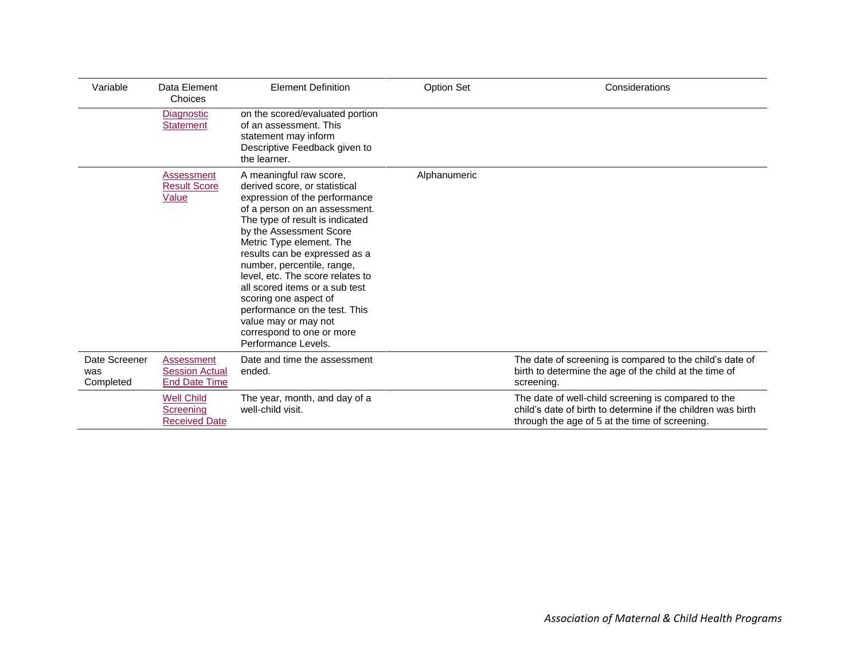| Variable                          | Data Element<br>Choices                                       | <b>Element Definition</b>                                                                                                                                                                                                                                                                                                                                                                                                                                                                       | <b>Option Set</b> | Considerations                                                                                                                                                        |
|-----------------------------------|---------------------------------------------------------------|-------------------------------------------------------------------------------------------------------------------------------------------------------------------------------------------------------------------------------------------------------------------------------------------------------------------------------------------------------------------------------------------------------------------------------------------------------------------------------------------------|-------------------|-----------------------------------------------------------------------------------------------------------------------------------------------------------------------|
|                                   | Diagnostic<br><b>Statement</b>                                | on the scored/evaluated portion<br>of an assessment. This<br>statement may inform<br>Descriptive Feedback given to<br>the learner.                                                                                                                                                                                                                                                                                                                                                              |                   |                                                                                                                                                                       |
|                                   | Assessment<br><b>Result Score</b><br>Value                    | A meaningful raw score,<br>derived score, or statistical<br>expression of the performance<br>of a person on an assessment.<br>The type of result is indicated<br>by the Assessment Score<br>Metric Type element. The<br>results can be expressed as a<br>number, percentile, range,<br>level, etc. The score relates to<br>all scored items or a sub test<br>scoring one aspect of<br>performance on the test. This<br>value may or may not<br>correspond to one or more<br>Performance Levels. | Alphanumeric      |                                                                                                                                                                       |
| Date Screener<br>was<br>Completed | Assessment<br><b>Session Actual</b><br><b>End Date Time</b>   | Date and time the assessment<br>ended.                                                                                                                                                                                                                                                                                                                                                                                                                                                          |                   | The date of screening is compared to the child's date of<br>birth to determine the age of the child at the time of<br>screening.                                      |
|                                   | <b>Well Child</b><br><b>Screening</b><br><b>Received Date</b> | The year, month, and day of a<br>well-child visit.                                                                                                                                                                                                                                                                                                                                                                                                                                              |                   | The date of well-child screening is compared to the<br>child's date of birth to determine if the children was birth<br>through the age of 5 at the time of screening. |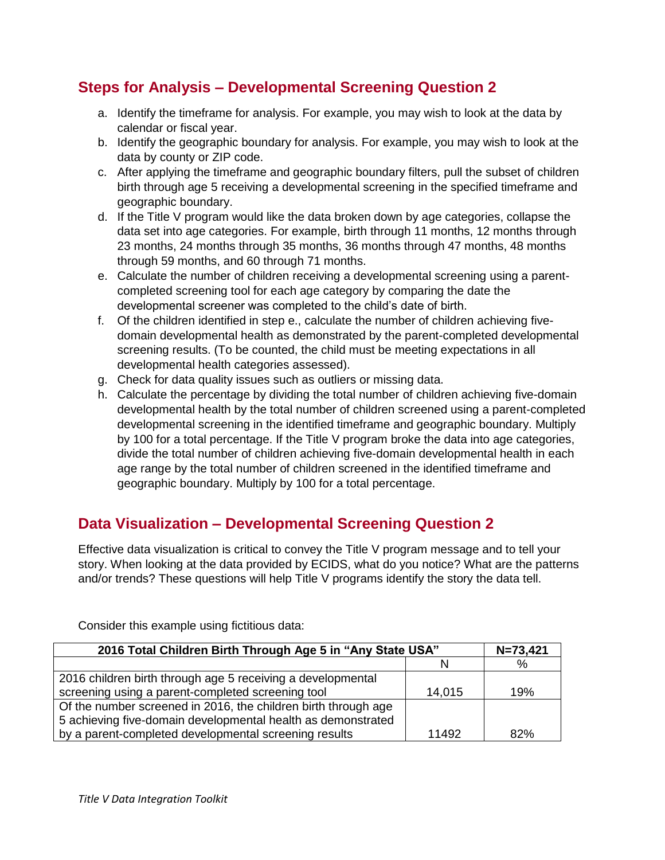## **Steps for Analysis – Developmental Screening Question 2**

- a. Identify the timeframe for analysis. For example, you may wish to look at the data by calendar or fiscal year.
- b. Identify the geographic boundary for analysis. For example, you may wish to look at the data by county or ZIP code.
- c. After applying the timeframe and geographic boundary filters, pull the subset of children birth through age 5 receiving a developmental screening in the specified timeframe and geographic boundary.
- d. If the Title V program would like the data broken down by age categories, collapse the data set into age categories. For example, birth through 11 months, 12 months through 23 months, 24 months through 35 months, 36 months through 47 months, 48 months through 59 months, and 60 through 71 months.
- e. Calculate the number of children receiving a developmental screening using a parentcompleted screening tool for each age category by comparing the date the developmental screener was completed to the child's date of birth.
- f. Of the children identified in step e., calculate the number of children achieving fivedomain developmental health as demonstrated by the parent-completed developmental screening results. (To be counted, the child must be meeting expectations in all developmental health categories assessed).
- g. Check for data quality issues such as outliers or missing data.
- h. Calculate the percentage by dividing the total number of children achieving five-domain developmental health by the total number of children screened using a parent-completed developmental screening in the identified timeframe and geographic boundary. Multiply by 100 for a total percentage. If the Title V program broke the data into age categories, divide the total number of children achieving five-domain developmental health in each age range by the total number of children screened in the identified timeframe and geographic boundary. Multiply by 100 for a total percentage.

## **Data Visualization – Developmental Screening Question 2**

Effective data visualization is critical to convey the Title V program message and to tell your story. When looking at the data provided by ECIDS, what do you notice? What are the patterns and/or trends? These questions will help Title V programs identify the story the data tell.

| 2016 Total Children Birth Through Age 5 in "Any State USA"     | $N = 73,421$ |     |
|----------------------------------------------------------------|--------------|-----|
|                                                                |              | %   |
| 2016 children birth through age 5 receiving a developmental    |              |     |
| screening using a parent-completed screening tool              | 14,015       | 19% |
| Of the number screened in 2016, the children birth through age |              |     |
| 5 achieving five-domain developmental health as demonstrated   |              |     |
| by a parent-completed developmental screening results          | 11492        | 82% |

Consider this example using fictitious data: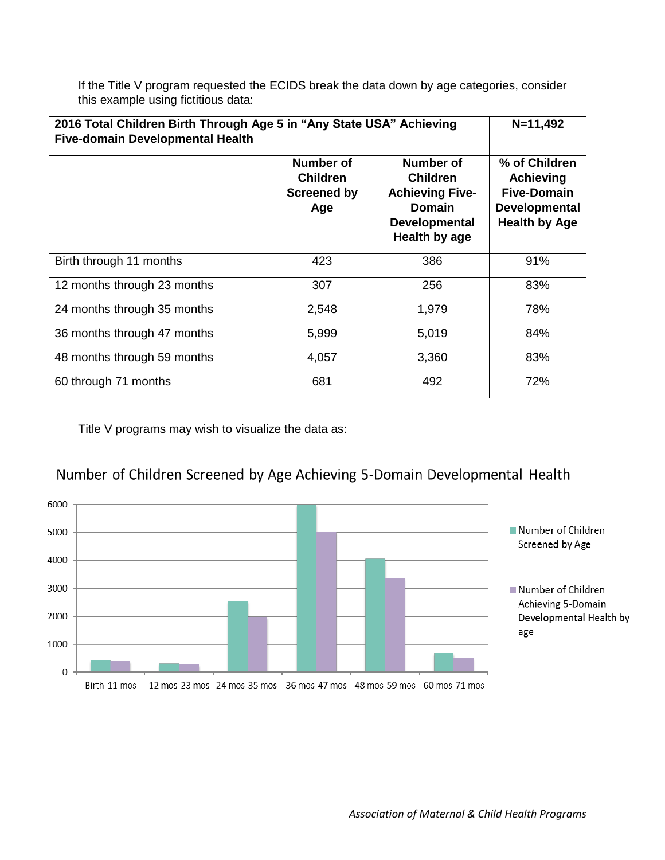If the Title V program requested the ECIDS break the data down by age categories, consider this example using fictitious data:

| 2016 Total Children Birth Through Age 5 in "Any State USA" Achieving<br><b>Five-domain Developmental Health</b> | $N = 11,492$                                              |                                                                                                                  |                                                                                                         |
|-----------------------------------------------------------------------------------------------------------------|-----------------------------------------------------------|------------------------------------------------------------------------------------------------------------------|---------------------------------------------------------------------------------------------------------|
|                                                                                                                 | Number of<br><b>Children</b><br><b>Screened by</b><br>Age | Number of<br><b>Children</b><br><b>Achieving Five-</b><br><b>Domain</b><br><b>Developmental</b><br>Health by age | % of Children<br><b>Achieving</b><br><b>Five-Domain</b><br><b>Developmental</b><br><b>Health by Age</b> |
| Birth through 11 months                                                                                         | 423                                                       | 386                                                                                                              | 91%                                                                                                     |
| 12 months through 23 months                                                                                     | 307                                                       | 256                                                                                                              | 83%                                                                                                     |
| 24 months through 35 months                                                                                     | 2,548                                                     | 1,979                                                                                                            | 78%                                                                                                     |
| 36 months through 47 months                                                                                     | 5,999                                                     | 5,019                                                                                                            | 84%                                                                                                     |
| 48 months through 59 months                                                                                     | 4,057                                                     | 3,360                                                                                                            | 83%                                                                                                     |
| 60 through 71 months                                                                                            | 681                                                       | 492                                                                                                              | 72%                                                                                                     |

Title V programs may wish to visualize the data as:

## Number of Children Screened by Age Achieving 5-Domain Developmental Health